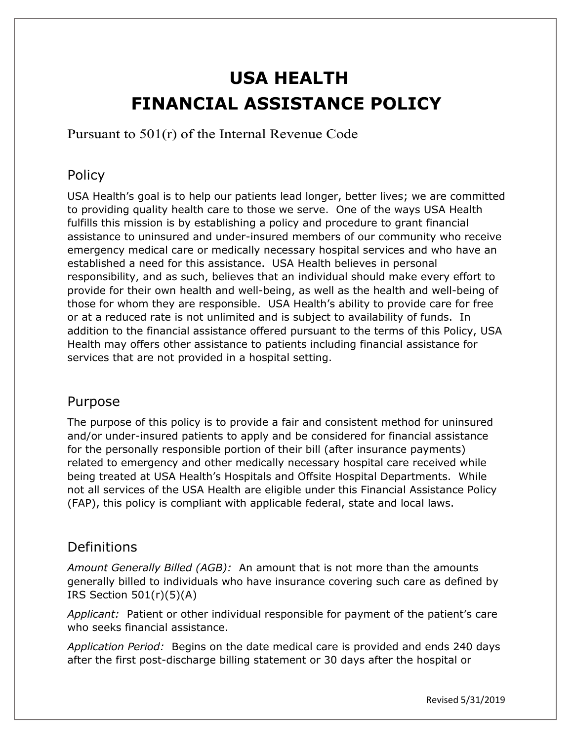# **USA HEALTH FINANCIAL ASSISTANCE POLICY**

Pursuant to 501(r) of the Internal Revenue Code

#### Policy

USA Health's goal is to help our patients lead longer, better lives; we are committed to providing quality health care to those we serve. One of the ways USA Health fulfills this mission is by establishing a policy and procedure to grant financial assistance to uninsured and under-insured members of our community who receive emergency medical care or medically necessary hospital services and who have an established a need for this assistance. USA Health believes in personal responsibility, and as such, believes that an individual should make every effort to provide for their own health and well-being, as well as the health and well-being of those for whom they are responsible. USA Health's ability to provide care for free or at a reduced rate is not unlimited and is subject to availability of funds. In addition to the financial assistance offered pursuant to the terms of this Policy, USA Health may offers other assistance to patients including financial assistance for services that are not provided in a hospital setting.

#### Purpose

The purpose of this policy is to provide a fair and consistent method for uninsured and/or under-insured patients to apply and be considered for financial assistance for the personally responsible portion of their bill (after insurance payments) related to emergency and other medically necessary hospital care received while being treated at USA Health's Hospitals and Offsite Hospital Departments. While not all services of the USA Health are eligible under this Financial Assistance Policy (FAP), this policy is compliant with applicable federal, state and local laws.

#### Definitions

*Amount Generally Billed (AGB):* An amount that is not more than the amounts generally billed to individuals who have insurance covering such care as defined by IRS Section 501(r)(5)(A)

*Applicant:* Patient or other individual responsible for payment of the patient's care who seeks financial assistance.

*Application Period:* Begins on the date medical care is provided and ends 240 days after the first post-discharge billing statement or 30 days after the hospital or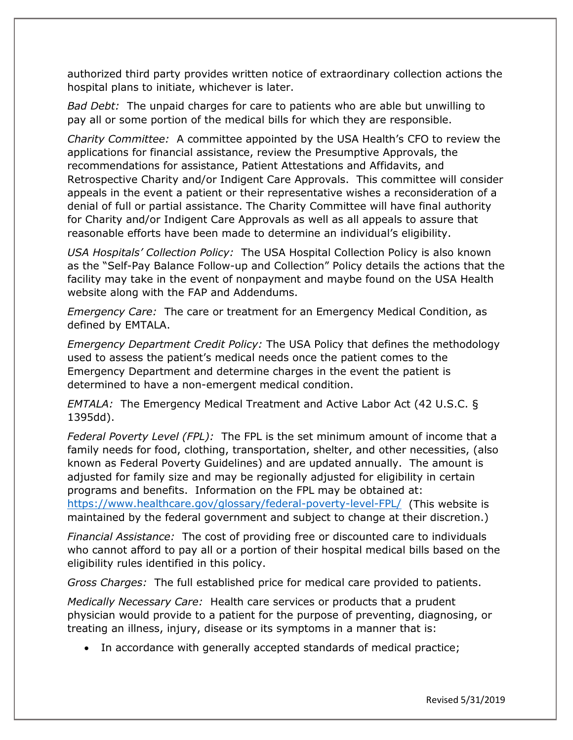authorized third party provides written notice of extraordinary collection actions the hospital plans to initiate, whichever is later.

*Bad Debt:* The unpaid charges for care to patients who are able but unwilling to pay all or some portion of the medical bills for which they are responsible.

*Charity Committee:* A committee appointed by the USA Health's CFO to review the applications for financial assistance, review the Presumptive Approvals, the recommendations for assistance, Patient Attestations and Affidavits, and Retrospective Charity and/or Indigent Care Approvals. This committee will consider appeals in the event a patient or their representative wishes a reconsideration of a denial of full or partial assistance. The Charity Committee will have final authority for Charity and/or Indigent Care Approvals as well as all appeals to assure that reasonable efforts have been made to determine an individual's eligibility.

*USA Hospitals' Collection Policy:* The USA Hospital Collection Policy is also known as the "Self-Pay Balance Follow-up and Collection" Policy details the actions that the facility may take in the event of nonpayment and maybe found on the USA Health website along with the FAP and Addendums.

*Emergency Care:* The care or treatment for an Emergency Medical Condition, as defined by EMTALA.

*Emergency Department Credit Policy:* The USA Policy that defines the methodology used to assess the patient's medical needs once the patient comes to the Emergency Department and determine charges in the event the patient is determined to have a non-emergent medical condition.

*EMTALA:* The Emergency Medical Treatment and Active Labor Act (42 U.S.C. § 1395dd).

*Federal Poverty Level (FPL):* The FPL is the set minimum amount of income that a family needs for food, clothing, transportation, shelter, and other necessities, (also known as Federal Poverty Guidelines) and are updated annually. The amount is adjusted for family size and may be regionally adjusted for eligibility in certain programs and benefits. Information on the FPL may be obtained at: <https://www.healthcare.gov/glossary/federal-poverty-level-FPL/> (This website is maintained by the federal government and subject to change at their discretion.)

*Financial Assistance:* The cost of providing free or discounted care to individuals who cannot afford to pay all or a portion of their hospital medical bills based on the eligibility rules identified in this policy.

*Gross Charges:* The full established price for medical care provided to patients.

*Medically Necessary Care:* Health care services or products that a prudent physician would provide to a patient for the purpose of preventing, diagnosing, or treating an illness, injury, disease or its symptoms in a manner that is:

• In accordance with generally accepted standards of medical practice;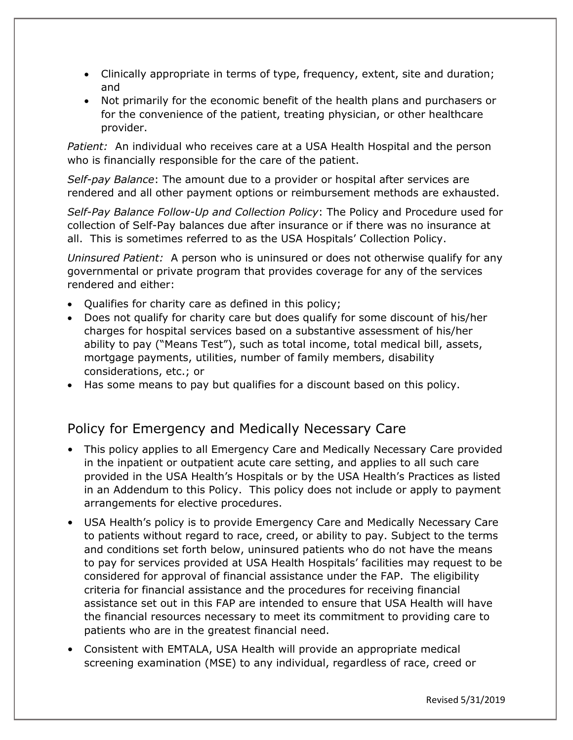- Clinically appropriate in terms of type, frequency, extent, site and duration; and
- Not primarily for the economic benefit of the health plans and purchasers or for the convenience of the patient, treating physician, or other healthcare provider.

*Patient:* An individual who receives care at a USA Health Hospital and the person who is financially responsible for the care of the patient.

*Self-pay Balance*: The amount due to a provider or hospital after services are rendered and all other payment options or reimbursement methods are exhausted.

*Self-Pay Balance Follow-Up and Collection Policy*: The Policy and Procedure used for collection of Self-Pay balances due after insurance or if there was no insurance at all. This is sometimes referred to as the USA Hospitals' Collection Policy.

*Uninsured Patient:* A person who is uninsured or does not otherwise qualify for any governmental or private program that provides coverage for any of the services rendered and either:

- Qualifies for charity care as defined in this policy;
- Does not qualify for charity care but does qualify for some discount of his/her charges for hospital services based on a substantive assessment of his/her ability to pay ("Means Test"), such as total income, total medical bill, assets, mortgage payments, utilities, number of family members, disability considerations, etc.; or
- Has some means to pay but qualifies for a discount based on this policy.

## Policy for Emergency and Medically Necessary Care

- This policy applies to all Emergency Care and Medically Necessary Care provided in the inpatient or outpatient acute care setting, and applies to all such care provided in the USA Health's Hospitals or by the USA Health's Practices as listed in an Addendum to this Policy. This policy does not include or apply to payment arrangements for elective procedures.
- USA Health's policy is to provide Emergency Care and Medically Necessary Care to patients without regard to race, creed, or ability to pay. Subject to the terms and conditions set forth below, uninsured patients who do not have the means to pay for services provided at USA Health Hospitals' facilities may request to be considered for approval of financial assistance under the FAP. The eligibility criteria for financial assistance and the procedures for receiving financial assistance set out in this FAP are intended to ensure that USA Health will have the financial resources necessary to meet its commitment to providing care to patients who are in the greatest financial need.
- Consistent with EMTALA, USA Health will provide an appropriate medical screening examination (MSE) to any individual, regardless of race, creed or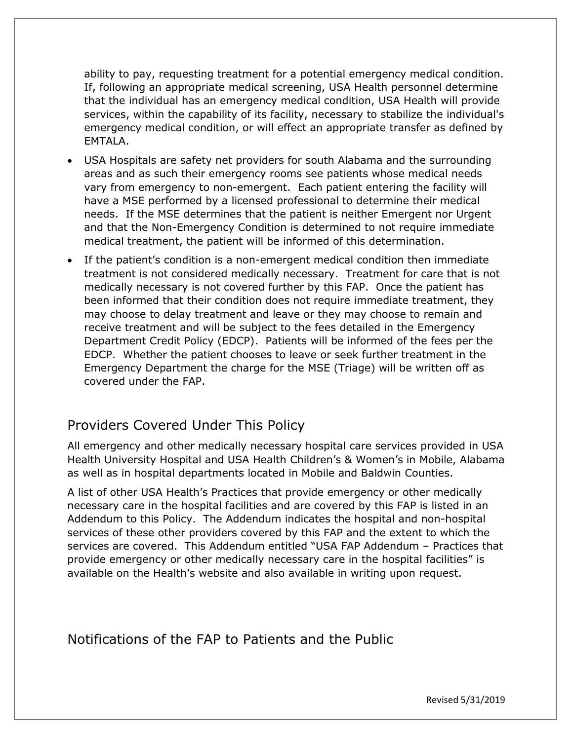ability to pay, requesting treatment for a potential emergency medical condition. If, following an appropriate medical screening, USA Health personnel determine that the individual has an emergency medical condition, USA Health will provide services, within the capability of its facility, necessary to stabilize the individual's emergency medical condition, or will effect an appropriate transfer as defined by EMTALA.

- USA Hospitals are safety net providers for south Alabama and the surrounding areas and as such their emergency rooms see patients whose medical needs vary from emergency to non-emergent. Each patient entering the facility will have a MSE performed by a licensed professional to determine their medical needs. If the MSE determines that the patient is neither Emergent nor Urgent and that the Non-Emergency Condition is determined to not require immediate medical treatment, the patient will be informed of this determination.
- If the patient's condition is a non-emergent medical condition then immediate treatment is not considered medically necessary. Treatment for care that is not medically necessary is not covered further by this FAP. Once the patient has been informed that their condition does not require immediate treatment, they may choose to delay treatment and leave or they may choose to remain and receive treatment and will be subject to the fees detailed in the Emergency Department Credit Policy (EDCP). Patients will be informed of the fees per the EDCP. Whether the patient chooses to leave or seek further treatment in the Emergency Department the charge for the MSE (Triage) will be written off as covered under the FAP.

#### Providers Covered Under This Policy

All emergency and other medically necessary hospital care services provided in USA Health University Hospital and USA Health Children's & Women's in Mobile, Alabama as well as in hospital departments located in Mobile and Baldwin Counties.

A list of other USA Health's Practices that provide emergency or other medically necessary care in the hospital facilities and are covered by this FAP is listed in an Addendum to this Policy. The Addendum indicates the hospital and non-hospital services of these other providers covered by this FAP and the extent to which the services are covered. This Addendum entitled "USA FAP Addendum – Practices that provide emergency or other medically necessary care in the hospital facilities" is available on the Health's website and also available in writing upon request.

Notifications of the FAP to Patients and the Public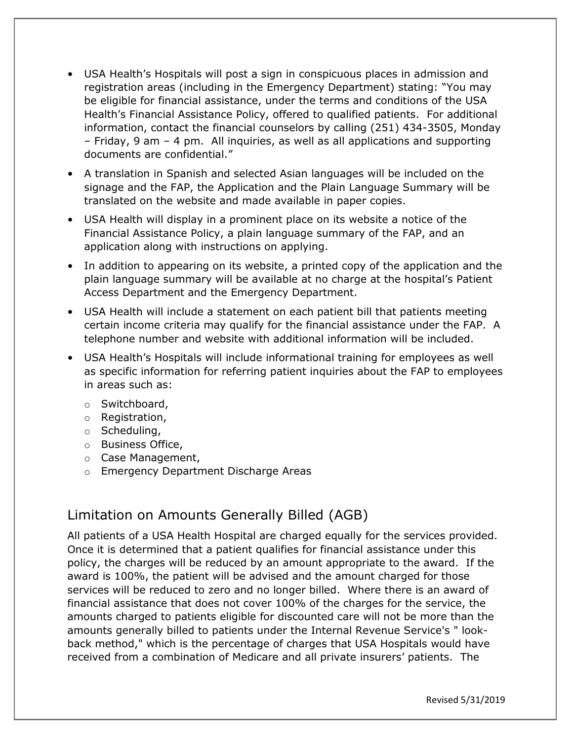- USA Health's Hospitals will post a sign in conspicuous places in admission and registration areas (including in the Emergency Department) stating: "You may be eligible for financial assistance, under the terms and conditions of the USA Health's Financial Assistance Policy, offered to qualified patients. For additional information, contact the financial counselors by calling (251) 434-3505, Monday – Friday, 9 am – 4 pm. All inquiries, as well as all applications and supporting documents are confidential."
- A translation in Spanish and selected Asian languages will be included on the signage and the FAP, the Application and the Plain Language Summary will be translated on the website and made available in paper copies.
- USA Health will display in a prominent place on its website a notice of the Financial Assistance Policy, a plain language summary of the FAP, and an application along with instructions on applying.
- In addition to appearing on its website, a printed copy of the application and the plain language summary will be available at no charge at the hospital's Patient Access Department and the Emergency Department.
- USA Health will include a statement on each patient bill that patients meeting certain income criteria may qualify for the financial assistance under the FAP. A telephone number and website with additional information will be included.
- USA Health's Hospitals will include informational training for employees as well as specific information for referring patient inquiries about the FAP to employees in areas such as:
	- o Switchboard,
	- o Registration,
	- o Scheduling,
	- o Business Office,
	- o Case Management,
	- o Emergency Department Discharge Areas

#### Limitation on Amounts Generally Billed (AGB)

All patients of a USA Health Hospital are charged equally for the services provided. Once it is determined that a patient qualifies for financial assistance under this policy, the charges will be reduced by an amount appropriate to the award. If the award is 100%, the patient will be advised and the amount charged for those services will be reduced to zero and no longer billed. Where there is an award of financial assistance that does not cover 100% of the charges for the service, the amounts charged to patients eligible for discounted care will not be more than the amounts generally billed to patients under the Internal Revenue Service's " lookback method," which is the percentage of charges that USA Hospitals would have received from a combination of Medicare and all private insurers' patients. The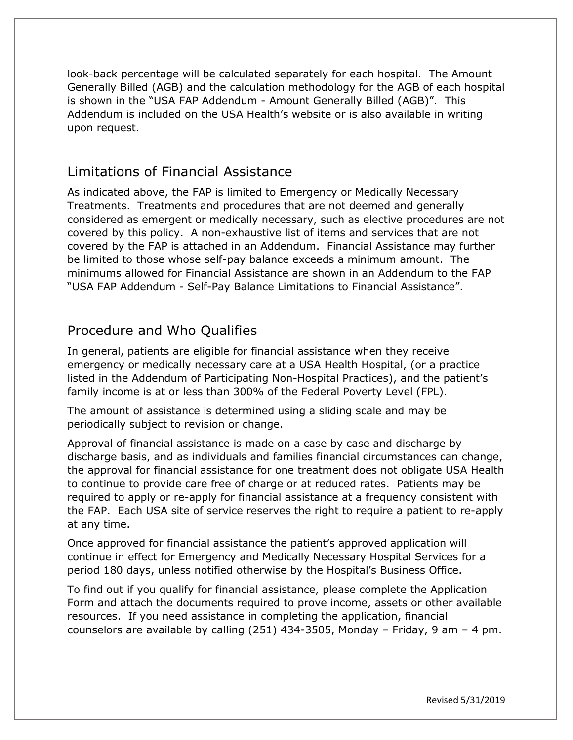look-back percentage will be calculated separately for each hospital. The Amount Generally Billed (AGB) and the calculation methodology for the AGB of each hospital is shown in the "USA FAP Addendum - Amount Generally Billed (AGB)". This Addendum is included on the USA Health's website or is also available in writing upon request.

#### Limitations of Financial Assistance

As indicated above, the FAP is limited to Emergency or Medically Necessary Treatments. Treatments and procedures that are not deemed and generally considered as emergent or medically necessary, such as elective procedures are not covered by this policy. A non-exhaustive list of items and services that are not covered by the FAP is attached in an Addendum. Financial Assistance may further be limited to those whose self-pay balance exceeds a minimum amount. The minimums allowed for Financial Assistance are shown in an Addendum to the FAP "USA FAP Addendum - Self-Pay Balance Limitations to Financial Assistance".

### Procedure and Who Qualifies

In general, patients are eligible for financial assistance when they receive emergency or medically necessary care at a USA Health Hospital, (or a practice listed in the Addendum of Participating Non-Hospital Practices), and the patient's family income is at or less than 300% of the Federal Poverty Level (FPL).

The amount of assistance is determined using a sliding scale and may be periodically subject to revision or change.

Approval of financial assistance is made on a case by case and discharge by discharge basis, and as individuals and families financial circumstances can change, the approval for financial assistance for one treatment does not obligate USA Health to continue to provide care free of charge or at reduced rates. Patients may be required to apply or re-apply for financial assistance at a frequency consistent with the FAP. Each USA site of service reserves the right to require a patient to re-apply at any time.

Once approved for financial assistance the patient's approved application will continue in effect for Emergency and Medically Necessary Hospital Services for a period 180 days, unless notified otherwise by the Hospital's Business Office.

To find out if you qualify for financial assistance, please complete the Application Form and attach the documents required to prove income, assets or other available resources. If you need assistance in completing the application, financial counselors are available by calling (251) 434-3505, Monday – Friday, 9 am – 4 pm.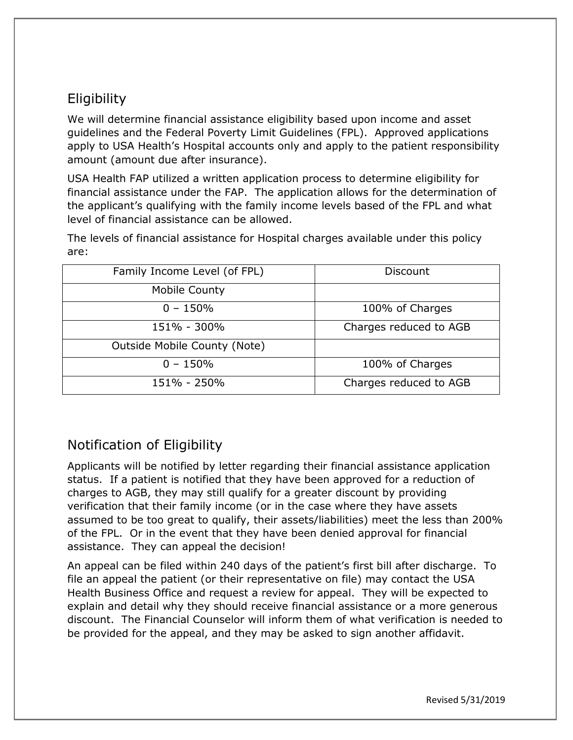# **Eligibility**

We will determine financial assistance eligibility based upon income and asset guidelines and the Federal Poverty Limit Guidelines (FPL). Approved applications apply to USA Health's Hospital accounts only and apply to the patient responsibility amount (amount due after insurance).

USA Health FAP utilized a written application process to determine eligibility for financial assistance under the FAP. The application allows for the determination of the applicant's qualifying with the family income levels based of the FPL and what level of financial assistance can be allowed.

The levels of financial assistance for Hospital charges available under this policy are:

| Family Income Level (of FPL) | Discount               |
|------------------------------|------------------------|
| Mobile County                |                        |
| $0 - 150%$                   | 100% of Charges        |
| 151% - 300%                  | Charges reduced to AGB |
| Outside Mobile County (Note) |                        |
| $0 - 150\%$                  | 100% of Charges        |
| 151% - 250%                  | Charges reduced to AGB |

# Notification of Eligibility

Applicants will be notified by letter regarding their financial assistance application status. If a patient is notified that they have been approved for a reduction of charges to AGB, they may still qualify for a greater discount by providing verification that their family income (or in the case where they have assets assumed to be too great to qualify, their assets/liabilities) meet the less than 200% of the FPL. Or in the event that they have been denied approval for financial assistance. They can appeal the decision!

An appeal can be filed within 240 days of the patient's first bill after discharge. To file an appeal the patient (or their representative on file) may contact the USA Health Business Office and request a review for appeal. They will be expected to explain and detail why they should receive financial assistance or a more generous discount. The Financial Counselor will inform them of what verification is needed to be provided for the appeal, and they may be asked to sign another affidavit.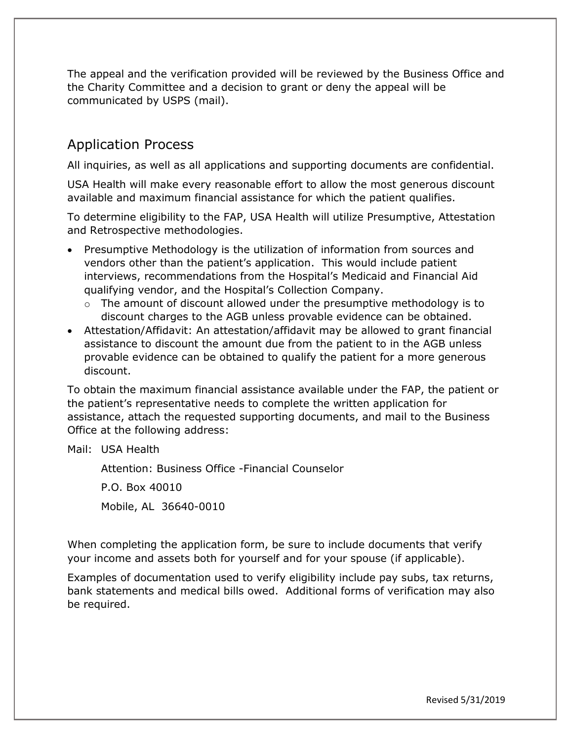The appeal and the verification provided will be reviewed by the Business Office and the Charity Committee and a decision to grant or deny the appeal will be communicated by USPS (mail).

## Application Process

All inquiries, as well as all applications and supporting documents are confidential.

USA Health will make every reasonable effort to allow the most generous discount available and maximum financial assistance for which the patient qualifies.

To determine eligibility to the FAP, USA Health will utilize Presumptive, Attestation and Retrospective methodologies.

- Presumptive Methodology is the utilization of information from sources and vendors other than the patient's application. This would include patient interviews, recommendations from the Hospital's Medicaid and Financial Aid qualifying vendor, and the Hospital's Collection Company.
	- $\circ$  The amount of discount allowed under the presumptive methodology is to discount charges to the AGB unless provable evidence can be obtained.
- Attestation/Affidavit: An attestation/affidavit may be allowed to grant financial assistance to discount the amount due from the patient to in the AGB unless provable evidence can be obtained to qualify the patient for a more generous discount.

To obtain the maximum financial assistance available under the FAP, the patient or the patient's representative needs to complete the written application for assistance, attach the requested supporting documents, and mail to the Business Office at the following address:

Mail: USA Health

Attention: Business Office -Financial Counselor

P.O. Box 40010

Mobile, AL 36640-0010

When completing the application form, be sure to include documents that verify your income and assets both for yourself and for your spouse (if applicable).

Examples of documentation used to verify eligibility include pay subs, tax returns, bank statements and medical bills owed. Additional forms of verification may also be required.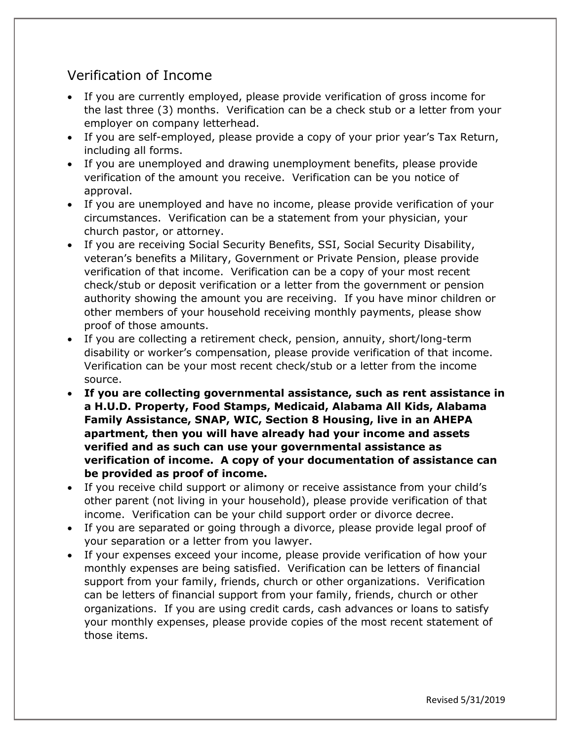## Verification of Income

- If you are currently employed, please provide verification of gross income for the last three (3) months. Verification can be a check stub or a letter from your employer on company letterhead.
- If you are self-employed, please provide a copy of your prior year's Tax Return, including all forms.
- If you are unemployed and drawing unemployment benefits, please provide verification of the amount you receive. Verification can be you notice of approval.
- If you are unemployed and have no income, please provide verification of your circumstances. Verification can be a statement from your physician, your church pastor, or attorney.
- If you are receiving Social Security Benefits, SSI, Social Security Disability, veteran's benefits a Military, Government or Private Pension, please provide verification of that income. Verification can be a copy of your most recent check/stub or deposit verification or a letter from the government or pension authority showing the amount you are receiving. If you have minor children or other members of your household receiving monthly payments, please show proof of those amounts.
- If you are collecting a retirement check, pension, annuity, short/long-term disability or worker's compensation, please provide verification of that income. Verification can be your most recent check/stub or a letter from the income source.
- **If you are collecting governmental assistance, such as rent assistance in a H.U.D. Property, Food Stamps, Medicaid, Alabama All Kids, Alabama Family Assistance, SNAP, WIC, Section 8 Housing, live in an AHEPA apartment, then you will have already had your income and assets verified and as such can use your governmental assistance as verification of income. A copy of your documentation of assistance can be provided as proof of income.**
- If you receive child support or alimony or receive assistance from your child's other parent (not living in your household), please provide verification of that income. Verification can be your child support order or divorce decree.
- If you are separated or going through a divorce, please provide legal proof of your separation or a letter from you lawyer.
- If your expenses exceed your income, please provide verification of how your monthly expenses are being satisfied. Verification can be letters of financial support from your family, friends, church or other organizations. Verification can be letters of financial support from your family, friends, church or other organizations. If you are using credit cards, cash advances or loans to satisfy your monthly expenses, please provide copies of the most recent statement of those items.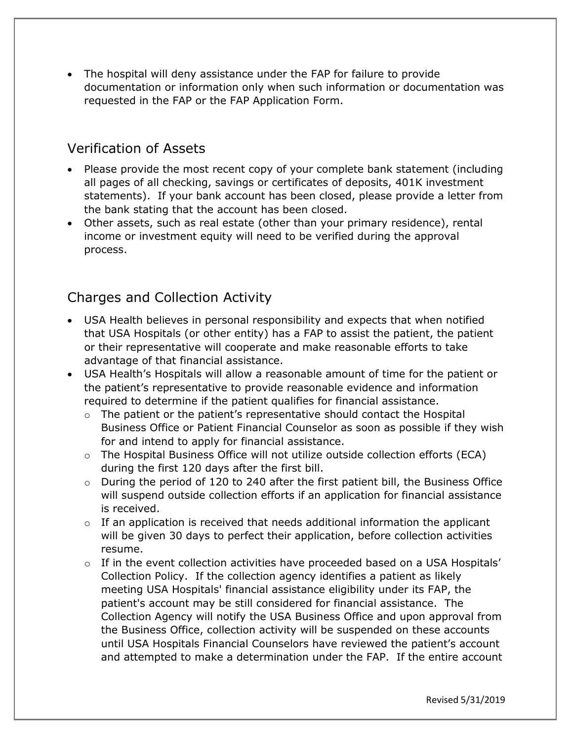• The hospital will deny assistance under the FAP for failure to provide documentation or information only when such information or documentation was requested in the FAP or the FAP Application Form.

#### Verification of Assets

- Please provide the most recent copy of your complete bank statement (including all pages of all checking, savings or certificates of deposits, 401K investment statements). If your bank account has been closed, please provide a letter from the bank stating that the account has been closed.
- Other assets, such as real estate (other than your primary residence), rental income or investment equity will need to be verified during the approval process.

## Charges and Collection Activity

- USA Health believes in personal responsibility and expects that when notified that USA Hospitals (or other entity) has a FAP to assist the patient, the patient or their representative will cooperate and make reasonable efforts to take advantage of that financial assistance.
- USA Health's Hospitals will allow a reasonable amount of time for the patient or the patient's representative to provide reasonable evidence and information required to determine if the patient qualifies for financial assistance.
	- $\circ$  The patient or the patient's representative should contact the Hospital Business Office or Patient Financial Counselor as soon as possible if they wish for and intend to apply for financial assistance.
	- $\circ$  The Hospital Business Office will not utilize outside collection efforts (ECA) during the first 120 days after the first bill.
	- o During the period of 120 to 240 after the first patient bill, the Business Office will suspend outside collection efforts if an application for financial assistance is received.
	- $\circ$  If an application is received that needs additional information the applicant will be given 30 days to perfect their application, before collection activities resume.
	- $\circ$  If in the event collection activities have proceeded based on a USA Hospitals' Collection Policy. If the collection agency identifies a patient as likely meeting USA Hospitals' financial assistance eligibility under its FAP, the patient's account may be still considered for financial assistance. The Collection Agency will notify the USA Business Office and upon approval from the Business Office, collection activity will be suspended on these accounts until USA Hospitals Financial Counselors have reviewed the patient's account and attempted to make a determination under the FAP. If the entire account